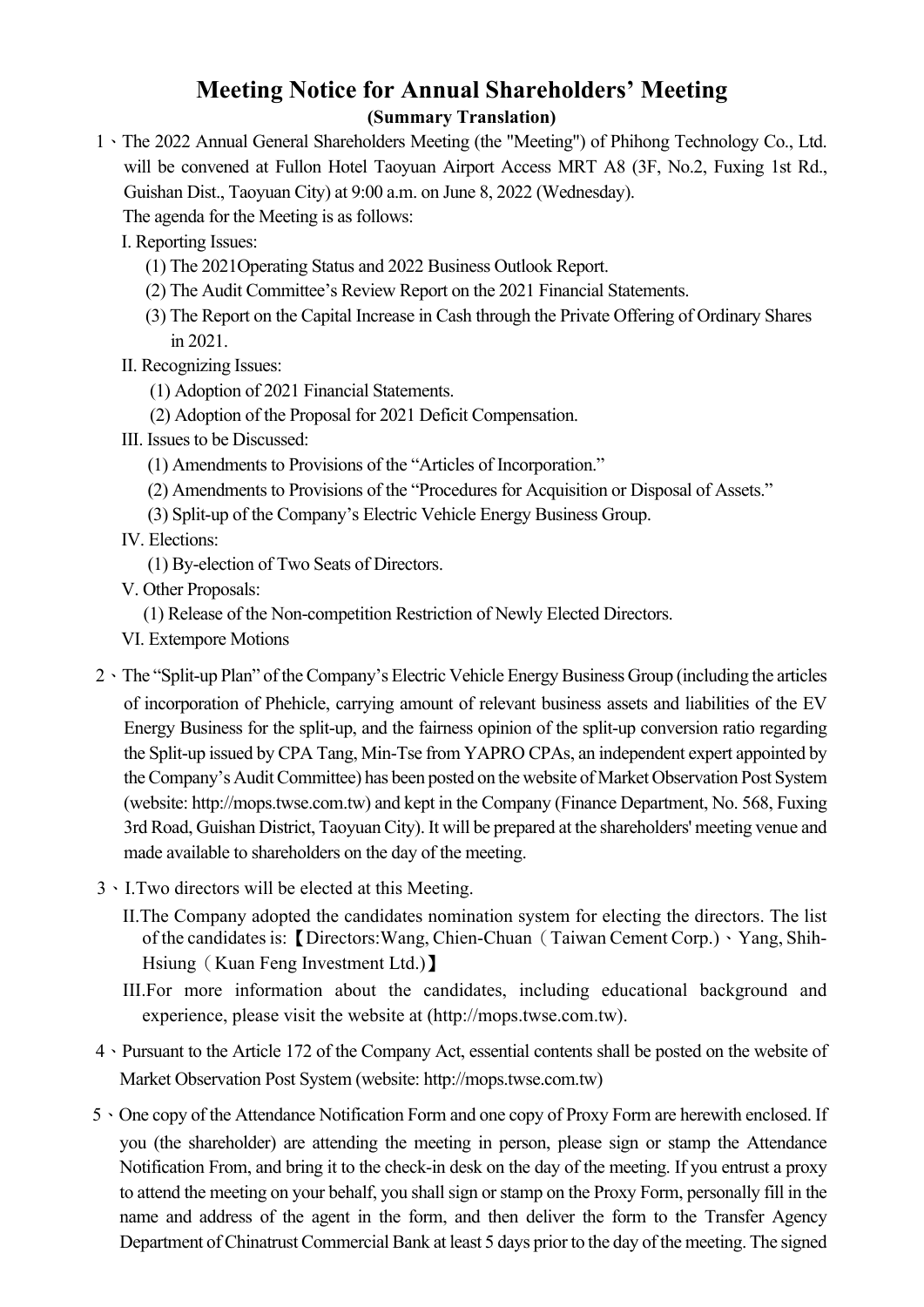## **Meeting Notice for Annual Shareholders' Meeting (Summary Translation)**

1、The 2022 Annual General Shareholders Meeting (the "Meeting") of Phihong Technology Co., Ltd. will be convened at Fullon Hotel Taoyuan Airport Access MRT A8 (3F, No.2, Fuxing 1st Rd., Guishan Dist., Taoyuan City) at 9:00 a.m. on June 8, 2022 (Wednesday).

The agenda for the Meeting is as follows:

- I. Reporting Issues:
	- (1) The 2021Operating Status and 2022 Business Outlook Report.
	- (2) The Audit Committee's Review Report on the 2021 Financial Statements.
	- (3) The Report on the Capital Increase in Cash through the Private Offering of Ordinary Shares in 2021.
- II. Recognizing Issues:
	- (1) Adoption of 2021 Financial Statements.
	- (2) Adoption of the Proposal for 2021 Deficit Compensation.
- III. Issues to be Discussed:
	- (1) Amendments to Provisions of the "Articles of Incorporation."
	- (2) Amendments to Provisions of the "Procedures for Acquisition or Disposal of Assets."
	- (3) Split-up of the Company's Electric Vehicle Energy Business Group.
- IV. Elections:
	- (1) By-election of Two Seats of Directors.
- V. Other Proposals:
	- (1) Release of the Non-competition Restriction of Newly Elected Directors.
- VI. Extempore Motions
- 2、The "Split-up Plan" of the Company's Electric Vehicle Energy Business Group (including the articles of incorporation of Phehicle, carrying amount of relevant business assets and liabilities of the EV Energy Business for the split-up, and the fairness opinion of the split-up conversion ratio regarding the Split-up issued by CPA Tang, Min-Tse from YAPRO CPAs, an independent expert appointed by the Company's Audit Committee) has been posted on the website of Market Observation Post System (website: http://mops.twse.com.tw) and kept in the Company (Finance Department, No. 568, Fuxing 3rd Road, Guishan District, Taoyuan City). It will be prepared at the shareholders' meeting venue and made available to shareholders on the day of the meeting.
- 3、I.Two directors will be elected at this Meeting.
	- II.The Company adopted the candidates nomination system for electing the directors. The list of the candidates is:【Directors:Wang, Chien-Chuan(Taiwan Cement Corp.)、Yang, Shih-Hsiung (Kuan Feng Investment Ltd.)
	- III.For more information about the candidates, including educational background and experience, please visit the website at (http://mops.twse.com.tw).
- 4、Pursuant to the Article 172 of the Company Act, essential contents shall be posted on the website of Market Observation Post System (website: http://mops.twse.com.tw)
- 5、One copy of the Attendance Notification Form and one copy of Proxy Form are herewith enclosed. If you (the shareholder) are attending the meeting in person, please sign or stamp the Attendance Notification From, and bring it to the check-in desk on the day of the meeting. If you entrust a proxy to attend the meeting on your behalf, you shall sign or stamp on the Proxy Form, personally fill in the name and address of the agent in the form, and then deliver the form to the Transfer Agency Department of Chinatrust Commercial Bank at least 5 days prior to the day of the meeting. The signed